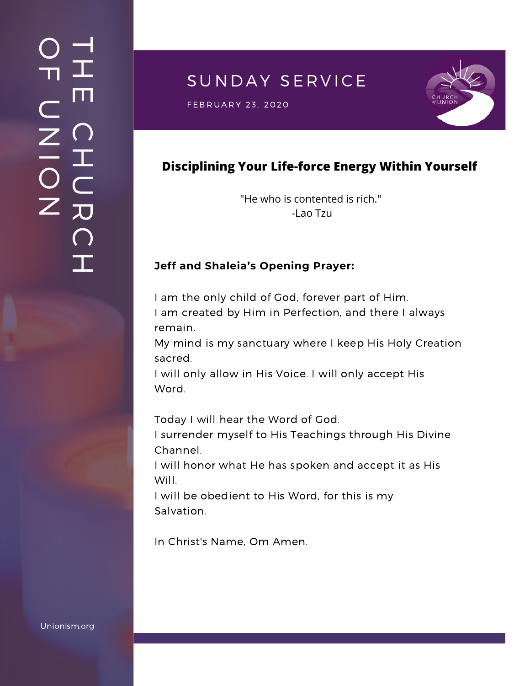# SUNDAY SERVICE

 $\mathsf{FEBRUARY}$  23, 2020  $\mathsf{SSE}$ 



## **Disciplining Your Life-force Energy Within Yourself**

"He who is contented is rich." -Lao Tzu

#### **Jeff and Shaleia's Opening Prayer:**

I am the only child of God, forever part of Him. I am created by Him in Perfection, and there I always remain.

My mind is my sanctuary where I keep His Holy Creation sacred.

I will only allow in His Voice. I will only accept His Word.

Today I will hear the Word of God.

I surrender myself to His Teachings through His Divine Channel.

I will honor what He has spoken and accept it as His Will.

I will be obedient to His Word, for this is my Salvation.

In Christ's Name, Om Amen.

Unionism.org